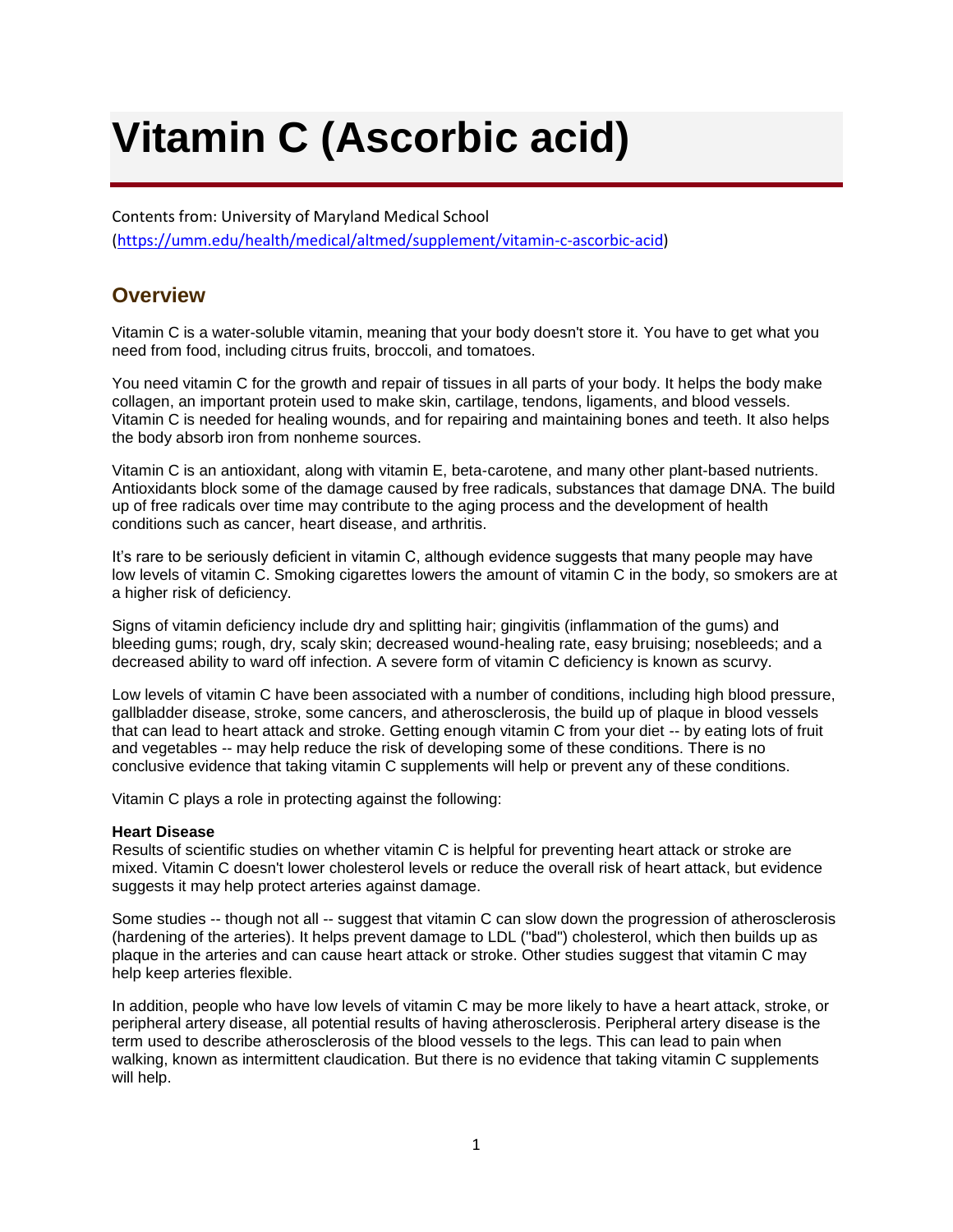# **Vitamin C (Ascorbic acid)**

Contents from: University of Maryland Medical School

[\(https://umm.edu/health/medical/altmed/supplement/vitamin-c-ascorbic-acid\)](https://umm.edu/health/medical/altmed/supplement/vitamin-c-ascorbic-acid)

# **Overview**

Vitamin C is a water-soluble vitamin, meaning that your body doesn't store it. You have to get what you need from food, including citrus fruits, broccoli, and tomatoes.

You need vitamin C for the growth and repair of tissues in all parts of your body. It helps the body make collagen, an important protein used to make skin, cartilage, tendons, ligaments, and blood vessels. Vitamin C is needed for healing wounds, and for repairing and maintaining bones and teeth. It also helps the body absorb iron from nonheme sources.

Vitamin C is an antioxidant, along with vitamin E, beta-carotene, and many other plant-based nutrients. Antioxidants block some of the damage caused by free radicals, substances that damage DNA. The build up of free radicals over time may contribute to the aging process and the development of health conditions such as cancer, heart disease, and arthritis.

It's rare to be seriously deficient in vitamin C, although evidence suggests that many people may have low levels of vitamin C. Smoking cigarettes lowers the amount of vitamin C in the body, so smokers are at a higher risk of deficiency.

Signs of vitamin deficiency include dry and splitting hair; gingivitis (inflammation of the gums) and bleeding gums; rough, dry, scaly skin; decreased wound-healing rate, easy bruising; nosebleeds; and a decreased ability to ward off infection. A severe form of vitamin C deficiency is known as scurvy.

Low levels of vitamin C have been associated with a number of conditions, including high blood pressure, gallbladder disease, stroke, some cancers, and atherosclerosis, the build up of plaque in blood vessels that can lead to heart attack and stroke. Getting enough vitamin C from your diet -- by eating lots of fruit and vegetables -- may help reduce the risk of developing some of these conditions. There is no conclusive evidence that taking vitamin C supplements will help or prevent any of these conditions.

Vitamin C plays a role in protecting against the following:

## **Heart Disease**

Results of scientific studies on whether vitamin C is helpful for preventing heart attack or stroke are mixed. Vitamin C doesn't lower cholesterol levels or reduce the overall risk of heart attack, but evidence suggests it may help protect arteries against damage.

Some studies -- though not all -- suggest that vitamin C can slow down the progression of atherosclerosis (hardening of the arteries). It helps prevent damage to LDL ("bad") cholesterol, which then builds up as plaque in the arteries and can cause heart attack or stroke. Other studies suggest that vitamin C may help keep arteries flexible.

In addition, people who have low levels of vitamin C may be more likely to have a heart attack, stroke, or peripheral artery disease, all potential results of having atherosclerosis. Peripheral artery disease is the term used to describe atherosclerosis of the blood vessels to the legs. This can lead to pain when walking, known as intermittent claudication. But there is no evidence that taking vitamin C supplements will help.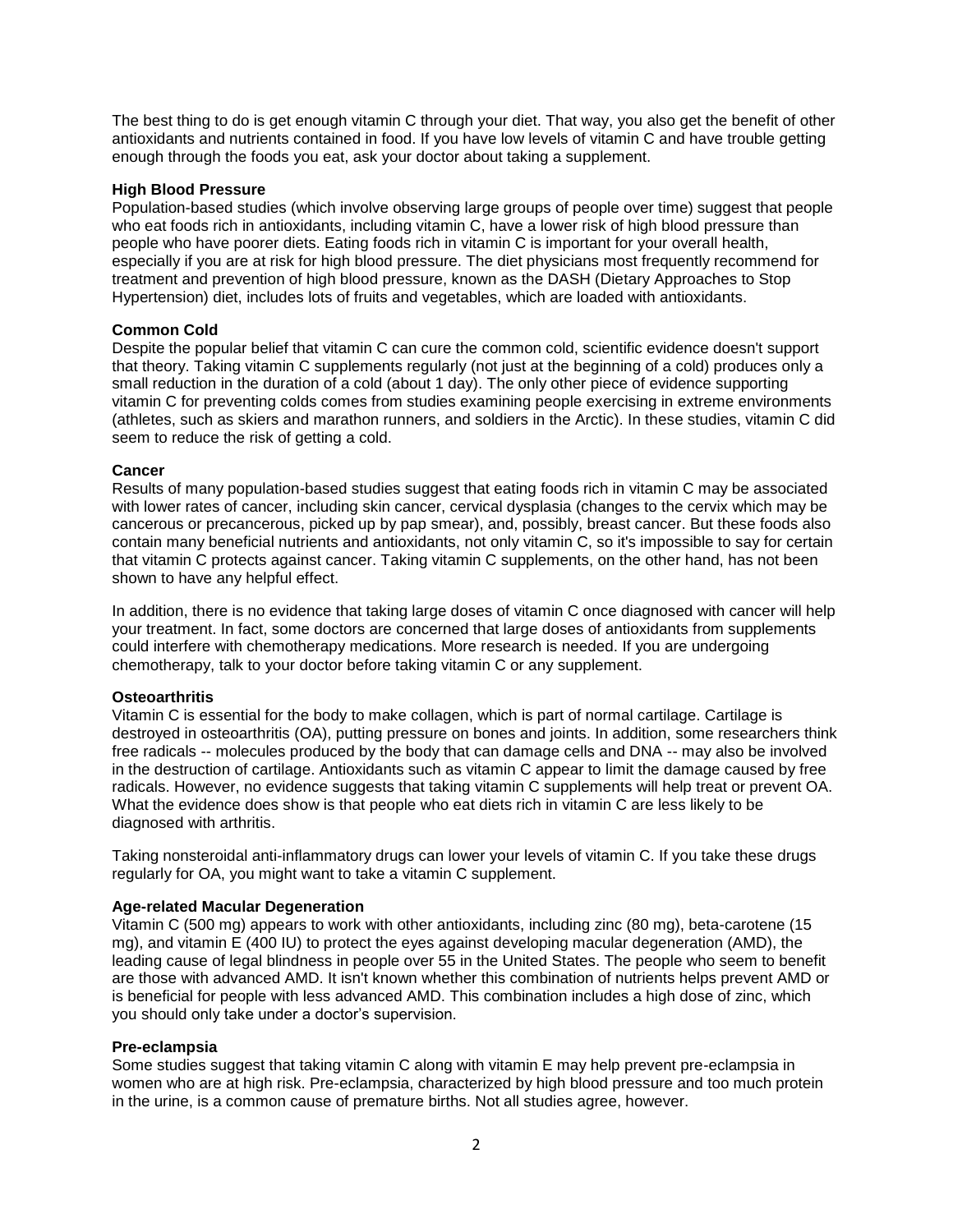The best thing to do is get enough vitamin C through your diet. That way, you also get the benefit of other antioxidants and nutrients contained in food. If you have low levels of vitamin C and have trouble getting enough through the foods you eat, ask your doctor about taking a supplement.

#### **High Blood Pressure**

Population-based studies (which involve observing large groups of people over time) suggest that people who eat foods rich in antioxidants, including vitamin C, have a lower risk of high blood pressure than people who have poorer diets. Eating foods rich in vitamin C is important for your overall health, especially if you are at risk for high blood pressure. The diet physicians most frequently recommend for treatment and prevention of high blood pressure, known as the DASH (Dietary Approaches to Stop Hypertension) diet, includes lots of fruits and vegetables, which are loaded with antioxidants.

### **Common Cold**

Despite the popular belief that vitamin C can cure the common cold, scientific evidence doesn't support that theory. Taking vitamin C supplements regularly (not just at the beginning of a cold) produces only a small reduction in the duration of a cold (about 1 day). The only other piece of evidence supporting vitamin C for preventing colds comes from studies examining people exercising in extreme environments (athletes, such as skiers and marathon runners, and soldiers in the Arctic). In these studies, vitamin C did seem to reduce the risk of getting a cold.

#### **Cancer**

Results of many population-based studies suggest that eating foods rich in vitamin C may be associated with lower rates of cancer, including skin cancer, cervical dysplasia (changes to the cervix which may be cancerous or precancerous, picked up by pap smear), and, possibly, breast cancer. But these foods also contain many beneficial nutrients and antioxidants, not only vitamin C, so it's impossible to say for certain that vitamin C protects against cancer. Taking vitamin C supplements, on the other hand, has not been shown to have any helpful effect.

In addition, there is no evidence that taking large doses of vitamin C once diagnosed with cancer will help your treatment. In fact, some doctors are concerned that large doses of antioxidants from supplements could interfere with chemotherapy medications. More research is needed. If you are undergoing chemotherapy, talk to your doctor before taking vitamin C or any supplement.

#### **Osteoarthritis**

Vitamin C is essential for the body to make collagen, which is part of normal cartilage. Cartilage is destroyed in osteoarthritis (OA), putting pressure on bones and joints. In addition, some researchers think free radicals -- molecules produced by the body that can damage cells and DNA -- may also be involved in the destruction of cartilage. Antioxidants such as vitamin C appear to limit the damage caused by free radicals. However, no evidence suggests that taking vitamin C supplements will help treat or prevent OA. What the evidence does show is that people who eat diets rich in vitamin C are less likely to be diagnosed with arthritis.

Taking nonsteroidal anti-inflammatory drugs can lower your levels of vitamin C. If you take these drugs regularly for OA, you might want to take a vitamin C supplement.

#### **Age-related Macular Degeneration**

Vitamin C (500 mg) appears to work with other antioxidants, including zinc (80 mg), beta-carotene (15 mg), and vitamin E (400 IU) to protect the eyes against developing macular degeneration (AMD), the leading cause of legal blindness in people over 55 in the United States. The people who seem to benefit are those with advanced AMD. It isn't known whether this combination of nutrients helps prevent AMD or is beneficial for people with less advanced AMD. This combination includes a high dose of zinc, which you should only take under a doctor's supervision.

#### **Pre-eclampsia**

Some studies suggest that taking vitamin C along with vitamin E may help prevent pre-eclampsia in women who are at high risk. Pre-eclampsia, characterized by high blood pressure and too much protein in the urine, is a common cause of premature births. Not all studies agree, however.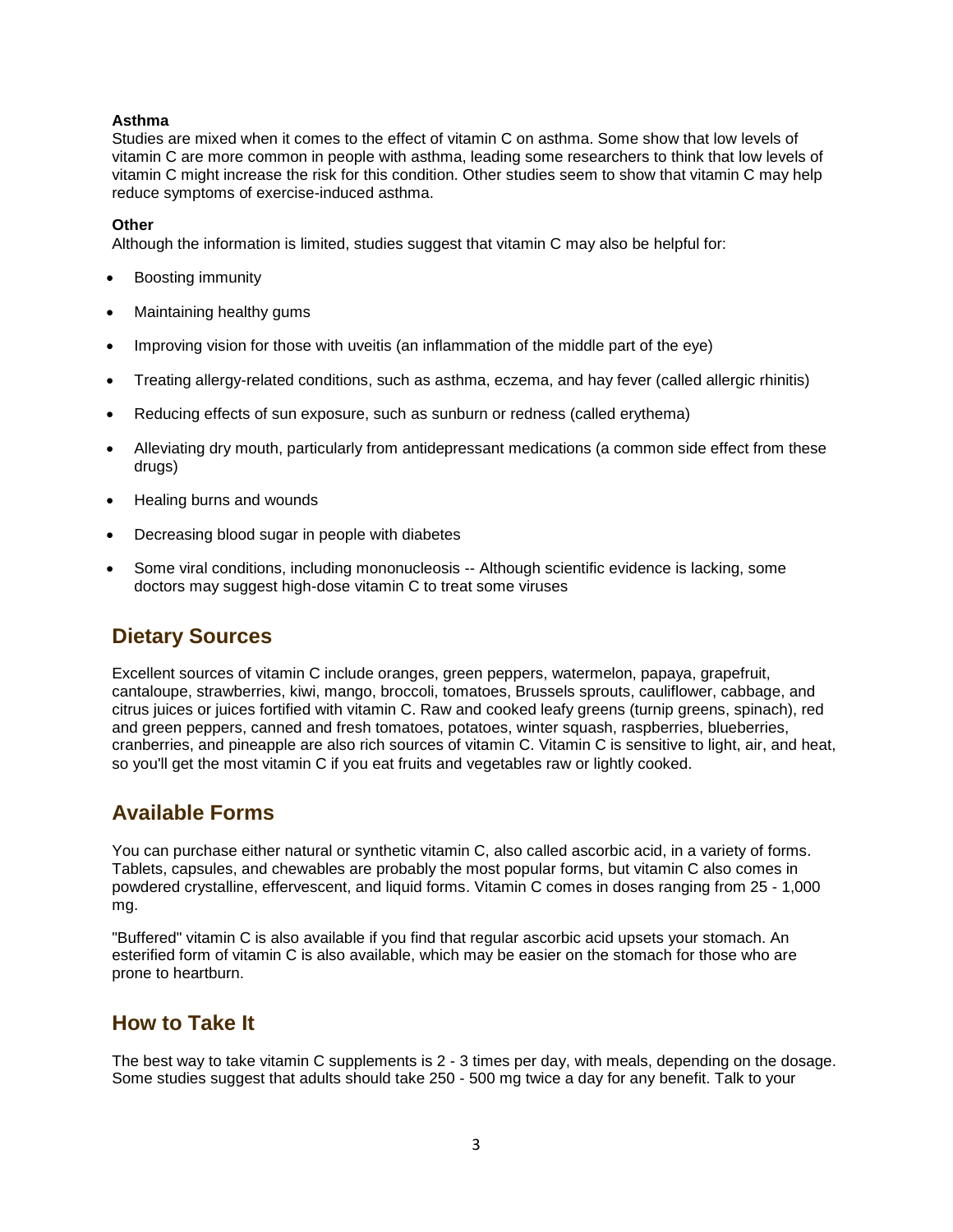## **Asthma**

Studies are mixed when it comes to the effect of vitamin C on asthma. Some show that low levels of vitamin C are more common in people with asthma, leading some researchers to think that low levels of vitamin C might increase the risk for this condition. Other studies seem to show that vitamin C may help reduce symptoms of exercise-induced asthma.

#### **Other**

Although the information is limited, studies suggest that vitamin C may also be helpful for:

- Boosting immunity
- Maintaining healthy gums
- Improving vision for those with uveitis (an inflammation of the middle part of the eye)
- Treating allergy-related conditions, such as asthma, eczema, and hay fever (called allergic rhinitis)
- Reducing effects of sun exposure, such as sunburn or redness (called erythema)
- Alleviating dry mouth, particularly from antidepressant medications (a common side effect from these drugs)
- Healing burns and wounds
- Decreasing blood sugar in people with diabetes
- Some viral conditions, including mononucleosis -- Although scientific evidence is lacking, some doctors may suggest high-dose vitamin C to treat some viruses

# **Dietary Sources**

Excellent sources of vitamin C include oranges, green peppers, watermelon, papaya, grapefruit, cantaloupe, strawberries, kiwi, mango, broccoli, tomatoes, Brussels sprouts, cauliflower, cabbage, and citrus juices or juices fortified with vitamin C. Raw and cooked leafy greens (turnip greens, spinach), red and green peppers, canned and fresh tomatoes, potatoes, winter squash, raspberries, blueberries, cranberries, and pineapple are also rich sources of vitamin C. Vitamin C is sensitive to light, air, and heat, so you'll get the most vitamin C if you eat fruits and vegetables raw or lightly cooked.

# **Available Forms**

You can purchase either natural or synthetic vitamin C, also called ascorbic acid, in a variety of forms. Tablets, capsules, and chewables are probably the most popular forms, but vitamin C also comes in powdered crystalline, effervescent, and liquid forms. Vitamin C comes in doses ranging from 25 - 1,000 mg.

"Buffered" vitamin C is also available if you find that regular ascorbic acid upsets your stomach. An esterified form of vitamin C is also available, which may be easier on the stomach for those who are prone to heartburn.

## **How to Take It**

The best way to take vitamin C supplements is 2 - 3 times per day, with meals, depending on the dosage. Some studies suggest that adults should take 250 - 500 mg twice a day for any benefit. Talk to your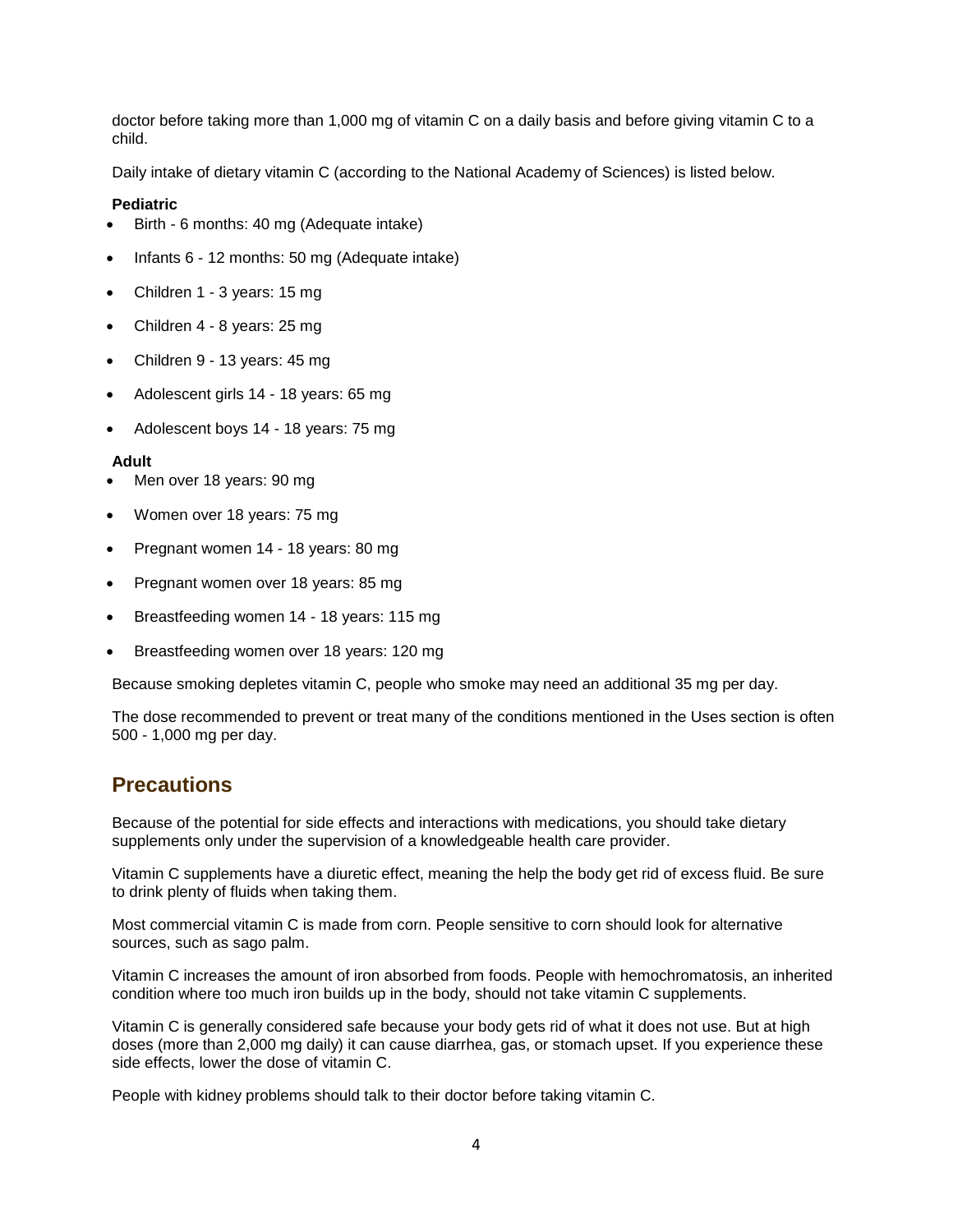doctor before taking more than 1,000 mg of vitamin C on a daily basis and before giving vitamin C to a child.

Daily intake of dietary vitamin C (according to the National Academy of Sciences) is listed below.

## **Pediatric**

- Birth 6 months: 40 mg (Adequate intake)
- Infants 6 12 months: 50 mg (Adequate intake)
- Children 1 3 years: 15 mg
- Children 4 8 years: 25 mg
- Children 9 13 years: 45 mg
- Adolescent girls 14 18 years: 65 mg
- Adolescent boys 14 18 years: 75 mg

#### **Adult**

- Men over 18 years: 90 mg
- Women over 18 years: 75 mg
- Pregnant women 14 18 years: 80 mg
- Pregnant women over 18 years: 85 mg
- Breastfeeding women 14 18 years: 115 mg
- Breastfeeding women over 18 years: 120 mg

Because smoking depletes vitamin C, people who smoke may need an additional 35 mg per day.

The dose recommended to prevent or treat many of the conditions mentioned in the Uses section is often 500 - 1,000 mg per day.

## **Precautions**

Because of the potential for side effects and interactions with medications, you should take dietary supplements only under the supervision of a knowledgeable health care provider.

Vitamin C supplements have a diuretic effect, meaning the help the body get rid of excess fluid. Be sure to drink plenty of fluids when taking them.

Most commercial vitamin C is made from corn. People sensitive to corn should look for alternative sources, such as sago palm.

Vitamin C increases the amount of iron absorbed from foods. People with hemochromatosis, an inherited condition where too much iron builds up in the body, should not take vitamin C supplements.

Vitamin C is generally considered safe because your body gets rid of what it does not use. But at high doses (more than 2,000 mg daily) it can cause diarrhea, gas, or stomach upset. If you experience these side effects, lower the dose of vitamin C.

People with kidney problems should talk to their doctor before taking vitamin C.